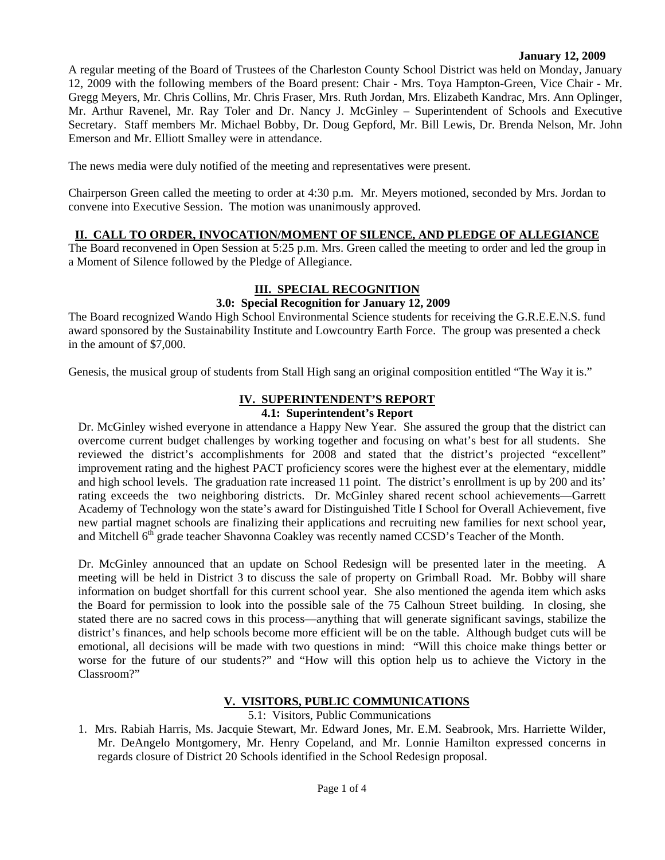#### **January 12, 2009**

A regular meeting of the Board of Trustees of the Charleston County School District was held on Monday, January 12, 2009 with the following members of the Board present: Chair - Mrs. Toya Hampton-Green, Vice Chair - Mr. Gregg Meyers, Mr. Chris Collins, Mr. Chris Fraser, Mrs. Ruth Jordan, Mrs. Elizabeth Kandrac, Mrs. Ann Oplinger, Mr. Arthur Ravenel, Mr. Ray Toler and Dr. Nancy J. McGinley – Superintendent of Schools and Executive Secretary. Staff members Mr. Michael Bobby, Dr. Doug Gepford, Mr. Bill Lewis, Dr. Brenda Nelson, Mr. John Emerson and Mr. Elliott Smalley were in attendance.

The news media were duly notified of the meeting and representatives were present.

Chairperson Green called the meeting to order at 4:30 p.m. Mr. Meyers motioned, seconded by Mrs. Jordan to convene into Executive Session. The motion was unanimously approved.

### **II. CALL TO ORDER, INVOCATION/MOMENT OF SILENCE, AND PLEDGE OF ALLEGIANCE**

The Board reconvened in Open Session at 5:25 p.m. Mrs. Green called the meeting to order and led the group in a Moment of Silence followed by the Pledge of Allegiance.

## **III. SPECIAL RECOGNITION**

#### **3.0: Special Recognition for January 12, 2009**

The Board recognized Wando High School Environmental Science students for receiving the G.R.E.E.N.S. fund award sponsored by the Sustainability Institute and Lowcountry Earth Force. The group was presented a check in the amount of \$7,000.

Genesis, the musical group of students from Stall High sang an original composition entitled "The Way it is."

## **IV. SUPERINTENDENT'S REPORT**

#### **4.1: Superintendent's Report**

Dr. McGinley wished everyone in attendance a Happy New Year. She assured the group that the district can overcome current budget challenges by working together and focusing on what's best for all students. She reviewed the district's accomplishments for 2008 and stated that the district's projected "excellent" improvement rating and the highest PACT proficiency scores were the highest ever at the elementary, middle and high school levels. The graduation rate increased 11 point. The district's enrollment is up by 200 and its' rating exceeds the two neighboring districts. Dr. McGinley shared recent school achievements—Garrett Academy of Technology won the state's award for Distinguished Title I School for Overall Achievement, five new partial magnet schools are finalizing their applications and recruiting new families for next school year, and Mitchell 6<sup>th</sup> grade teacher Shavonna Coakley was recently named CCSD's Teacher of the Month.

Dr. McGinley announced that an update on School Redesign will be presented later in the meeting. A meeting will be held in District 3 to discuss the sale of property on Grimball Road. Mr. Bobby will share information on budget shortfall for this current school year. She also mentioned the agenda item which asks the Board for permission to look into the possible sale of the 75 Calhoun Street building. In closing, she stated there are no sacred cows in this process—anything that will generate significant savings, stabilize the district's finances, and help schools become more efficient will be on the table. Although budget cuts will be emotional, all decisions will be made with two questions in mind: "Will this choice make things better or worse for the future of our students?" and "How will this option help us to achieve the Victory in the Classroom?"

## **V. VISITORS, PUBLIC COMMUNICATIONS**

5.1: Visitors, Public Communications

1. Mrs. Rabiah Harris, Ms. Jacquie Stewart, Mr. Edward Jones, Mr. E.M. Seabrook, Mrs. Harriette Wilder, Mr. DeAngelo Montgomery, Mr. Henry Copeland, and Mr. Lonnie Hamilton expressed concerns in regards closure of District 20 Schools identified in the School Redesign proposal.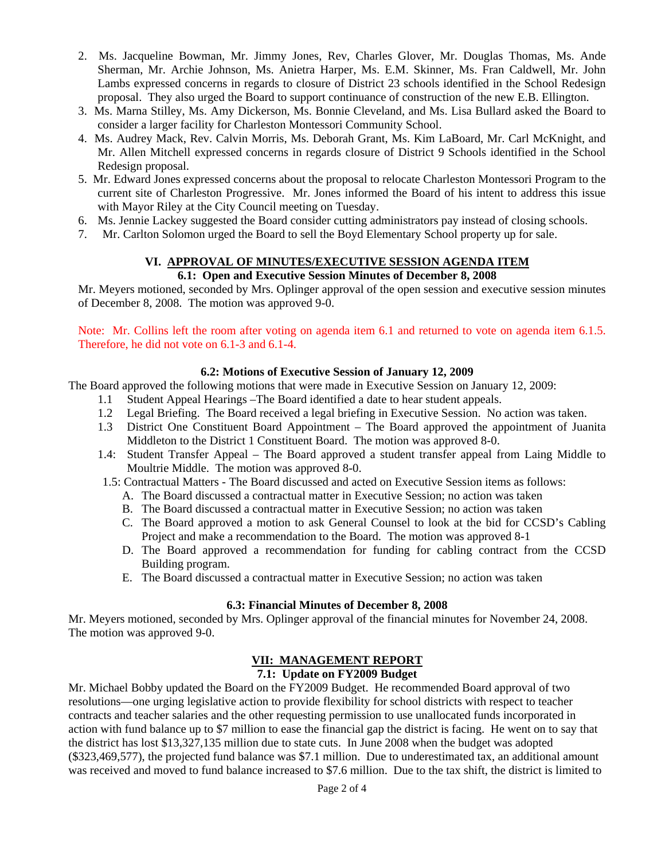- 2. Ms. Jacqueline Bowman, Mr. Jimmy Jones, Rev, Charles Glover, Mr. Douglas Thomas, Ms. Ande Sherman, Mr. Archie Johnson, Ms. Anietra Harper, Ms. E.M. Skinner, Ms. Fran Caldwell, Mr. John Lambs expressed concerns in regards to closure of District 23 schools identified in the School Redesign proposal. They also urged the Board to support continuance of construction of the new E.B. Ellington.
- 3. Ms. Marna Stilley, Ms. Amy Dickerson, Ms. Bonnie Cleveland, and Ms. Lisa Bullard asked the Board to consider a larger facility for Charleston Montessori Community School.
- 4. Ms. Audrey Mack, Rev. Calvin Morris, Ms. Deborah Grant, Ms. Kim LaBoard, Mr. Carl McKnight, and Mr. Allen Mitchell expressed concerns in regards closure of District 9 Schools identified in the School Redesign proposal.
- 5. Mr. Edward Jones expressed concerns about the proposal to relocate Charleston Montessori Program to the current site of Charleston Progressive. Mr. Jones informed the Board of his intent to address this issue with Mayor Riley at the City Council meeting on Tuesday.
- 6. Ms. Jennie Lackey suggested the Board consider cutting administrators pay instead of closing schools.
- 7. Mr. Carlton Solomon urged the Board to sell the Boyd Elementary School property up for sale.

#### **VI. APPROVAL OF MINUTES/EXECUTIVE SESSION AGENDA ITEM 6.1: Open and Executive Session Minutes of December 8, 2008**

Mr. Meyers motioned, seconded by Mrs. Oplinger approval of the open session and executive session minutes of December 8, 2008. The motion was approved 9-0.

Note: Mr. Collins left the room after voting on agenda item 6.1 and returned to vote on agenda item 6.1.5. Therefore, he did not vote on 6.1-3 and 6.1-4.

### **6.2: Motions of Executive Session of January 12, 2009**

The Board approved the following motions that were made in Executive Session on January 12, 2009:

- 1.1 Student Appeal Hearings –The Board identified a date to hear student appeals.
- 1.2 Legal Briefing. The Board received a legal briefing in Executive Session. No action was taken.
- 1.3 District One Constituent Board Appointment The Board approved the appointment of Juanita Middleton to the District 1 Constituent Board. The motion was approved 8-0.
- 1.4: Student Transfer Appeal The Board approved a student transfer appeal from Laing Middle to Moultrie Middle. The motion was approved 8-0.
- 1.5: Contractual Matters The Board discussed and acted on Executive Session items as follows:
	- A. The Board discussed a contractual matter in Executive Session; no action was taken
	- B. The Board discussed a contractual matter in Executive Session; no action was taken
	- C. The Board approved a motion to ask General Counsel to look at the bid for CCSD's Cabling Project and make a recommendation to the Board. The motion was approved 8-1
	- D. The Board approved a recommendation for funding for cabling contract from the CCSD Building program.
	- E. The Board discussed a contractual matter in Executive Session; no action was taken

#### **6.3: Financial Minutes of December 8, 2008**

Mr. Meyers motioned, seconded by Mrs. Oplinger approval of the financial minutes for November 24, 2008. The motion was approved 9-0.

## **VII: MANAGEMENT REPORT**

#### **7.1: Update on FY2009 Budget**

Mr. Michael Bobby updated the Board on the FY2009 Budget. He recommended Board approval of two resolutions—one urging legislative action to provide flexibility for school districts with respect to teacher contracts and teacher salaries and the other requesting permission to use unallocated funds incorporated in action with fund balance up to \$7 million to ease the financial gap the district is facing. He went on to say that the district has lost \$13,327,135 million due to state cuts. In June 2008 when the budget was adopted (\$323,469,577), the projected fund balance was \$7.1 million. Due to underestimated tax, an additional amount was received and moved to fund balance increased to \$7.6 million. Due to the tax shift, the district is limited to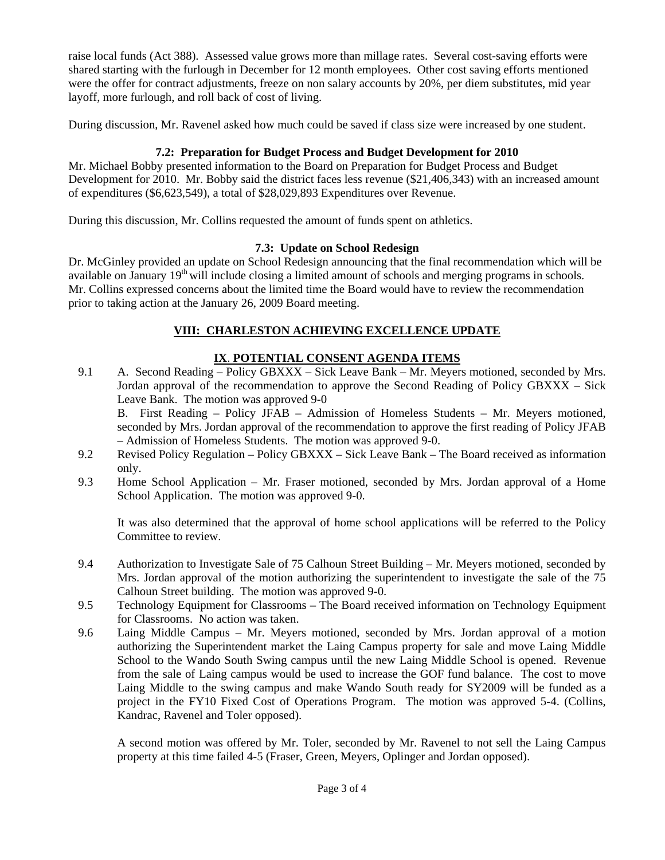raise local funds (Act 388). Assessed value grows more than millage rates. Several cost-saving efforts were shared starting with the furlough in December for 12 month employees. Other cost saving efforts mentioned were the offer for contract adjustments, freeze on non salary accounts by 20%, per diem substitutes, mid year layoff, more furlough, and roll back of cost of living.

During discussion, Mr. Ravenel asked how much could be saved if class size were increased by one student.

# **7.2: Preparation for Budget Process and Budget Development for 2010**

Mr. Michael Bobby presented information to the Board on Preparation for Budget Process and Budget Development for 2010. Mr. Bobby said the district faces less revenue (\$21,406,343) with an increased amount of expenditures (\$6,623,549), a total of \$28,029,893 Expenditures over Revenue.

During this discussion, Mr. Collins requested the amount of funds spent on athletics.

## **7.3: Update on School Redesign**

Dr. McGinley provided an update on School Redesign announcing that the final recommendation which will be available on January 19<sup>th</sup> will include closing a limited amount of schools and merging programs in schools. Mr. Collins expressed concerns about the limited time the Board would have to review the recommendation prior to taking action at the January 26, 2009 Board meeting.

## **VIII: CHARLESTON ACHIEVING EXCELLENCE UPDATE**

# **IX**. **POTENTIAL CONSENT AGENDA ITEMS**

9.1 A. Second Reading – Policy GBXXX – Sick Leave Bank – Mr. Meyers motioned, seconded by Mrs. Jordan approval of the recommendation to approve the Second Reading of Policy GBXXX – Sick Leave Bank. The motion was approved 9-0

B. First Reading – Policy JFAB – Admission of Homeless Students – Mr. Meyers motioned, seconded by Mrs. Jordan approval of the recommendation to approve the first reading of Policy JFAB – Admission of Homeless Students. The motion was approved 9-0.

- 9.2 Revised Policy Regulation Policy GBXXX Sick Leave Bank The Board received as information only.
- 9.3 Home School Application Mr. Fraser motioned, seconded by Mrs. Jordan approval of a Home School Application. The motion was approved 9-0.

It was also determined that the approval of home school applications will be referred to the Policy Committee to review.

- 9.4 Authorization to Investigate Sale of 75 Calhoun Street Building Mr. Meyers motioned, seconded by Mrs. Jordan approval of the motion authorizing the superintendent to investigate the sale of the 75 Calhoun Street building. The motion was approved 9-0.
- 9.5 Technology Equipment for Classrooms The Board received information on Technology Equipment for Classrooms. No action was taken.
- 9.6 Laing Middle Campus Mr. Meyers motioned, seconded by Mrs. Jordan approval of a motion authorizing the Superintendent market the Laing Campus property for sale and move Laing Middle School to the Wando South Swing campus until the new Laing Middle School is opened. Revenue from the sale of Laing campus would be used to increase the GOF fund balance. The cost to move Laing Middle to the swing campus and make Wando South ready for SY2009 will be funded as a project in the FY10 Fixed Cost of Operations Program. The motion was approved 5-4. (Collins, Kandrac, Ravenel and Toler opposed).

A second motion was offered by Mr. Toler, seconded by Mr. Ravenel to not sell the Laing Campus property at this time failed 4-5 (Fraser, Green, Meyers, Oplinger and Jordan opposed).